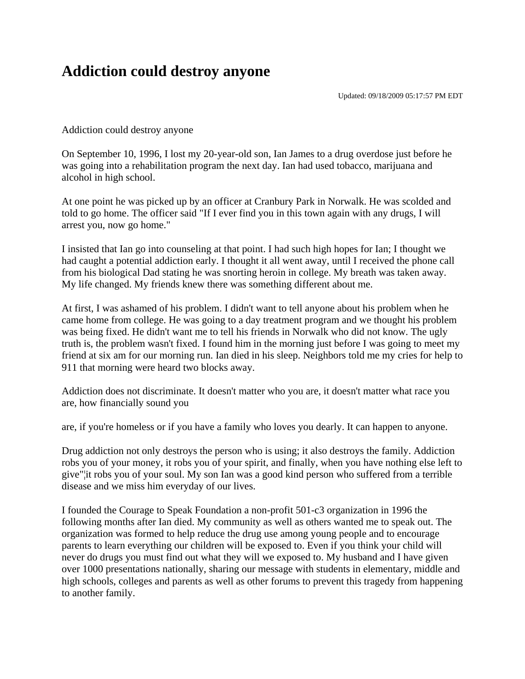## **Addiction could destroy anyone**

Updated: 09/18/2009 05:17:57 PM EDT

Addiction could destroy anyone

On September 10, 1996, I lost my 20-year-old son, Ian James to a drug overdose just before he was going into a rehabilitation program the next day. Ian had used tobacco, marijuana and alcohol in high school.

At one point he was picked up by an officer at Cranbury Park in Norwalk. He was scolded and told to go home. The officer said "If I ever find you in this town again with any drugs, I will arrest you, now go home."

I insisted that Ian go into counseling at that point. I had such high hopes for Ian; I thought we had caught a potential addiction early. I thought it all went away, until I received the phone call from his biological Dad stating he was snorting heroin in college. My breath was taken away. My life changed. My friends knew there was something different about me.

At first, I was ashamed of his problem. I didn't want to tell anyone about his problem when he came home from college. He was going to a day treatment program and we thought his problem was being fixed. He didn't want me to tell his friends in Norwalk who did not know. The ugly truth is, the problem wasn't fixed. I found him in the morning just before I was going to meet my friend at six am for our morning run. Ian died in his sleep. Neighbors told me my cries for help to 911 that morning were heard two blocks away.

Addiction does not discriminate. It doesn't matter who you are, it doesn't matter what race you are, how financially sound you

are, if you're homeless or if you have a family who loves you dearly. It can happen to anyone.

Drug addiction not only destroys the person who is using; it also destroys the family. Addiction robs you of your money, it robs you of your spirit, and finally, when you have nothing else left to give"¦it robs you of your soul. My son Ian was a good kind person who suffered from a terrible disease and we miss him everyday of our lives.

I founded the Courage to Speak Foundation a non-profit 501-c3 organization in 1996 the following months after Ian died. My community as well as others wanted me to speak out. The organization was formed to help reduce the drug use among young people and to encourage parents to learn everything our children will be exposed to. Even if you think your child will never do drugs you must find out what they will we exposed to. My husband and I have given over 1000 presentations nationally, sharing our message with students in elementary, middle and high schools, colleges and parents as well as other forums to prevent this tragedy from happening to another family.